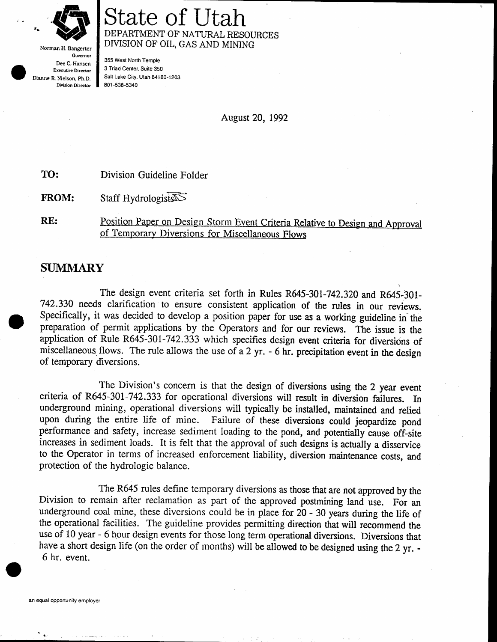

Norman H. Bangerter Governor Dee C, Hansen Executive Director Dianne R. Nielson, Ph,D. Division Director

# itate o DEPARTMENT OF NATURAL RESOURCES DMSION OF OIL, GAS AND MINING

355 West North Temple 3 Triad Center, Suite 350 Salt Lake City, Utah 84180-1203 801 -538-5340

August 20, 1992

TO: Division Guideline Folder

FROM: Staff Hydrologists

Position Paper on Design Storm Event Criteria Relative to Design and Approval RE: of Temporary Diversions for Miscellaneous Flows

## **SUMMARY**

The design event criteria set forth in Rules R645-301-742.320 and R645-301-742334 needs clarification to ensure consistent application of the rules in our reviews. Specifically, it was decided to develop a position paper for use as a working guideline in'the preparation of permit applications by the Operators and for our reviews. The issue is the application of Rule R645-30I-742.333 which specifies design event criteria for diversions of miscellaneous flows. The rule allows the use of a 2 yr. - 6 hr. precipitation event in the design of temporary diversions.

The Division's concern is that the design of diversions using the 2 year event criteria of R645-301-742.333 for operational diversions will result in diversion failures. In underground mining, operational diversions will typically be installed, maintained and relied upon during the entire life of mine. Failure of these diversions could jeopardize pond performance and safety, increase sediment loading to the pond, and potentially cause off-site increases in sediment loads. It is felt that the approval of such designs is actually a disservice to the Operator in terms of increased enforcement liability, diversion maintenance costs, and protection of the hydrologic balance.

The R645 rules define temporary diversions as those that are not approved by the Division to remain after reclamation as part of the approved postmining land use. For an underground coal mine, these diversions could be in place for 20 - 30 years during the life of the operational facilities. The guideline provides permitting direction that will recommend the use of 10 year - 6 hour design events for those long term operational diversions. Diversions that have a short design life (on the order of months) will be allowed to be designed using the 2 yr. -6 hr. event.

{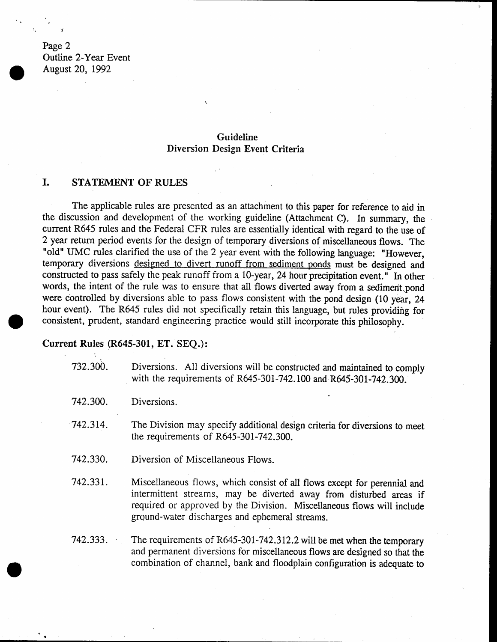Page 2 Outline 2-Year Event August 20, 1992

### Guideline Diversion Design Event Criteria

### I. STATEMENT OF RULES

The applicable rules are presented as an attachment to this paper for reference to aid in the discussion and development of the working guideline (Attachment C). In summary, the current R645 rules and the Federal CFR rules are essentially identical with regard to the use of 2 year return period events for the design of temporary diversions of miscellaneous flows. The "old" UMC rules clarified the use of the 2 year event with the following language: "However, temporary diversions designed to divert runoff from sediment ponds must be designed and constructed to pass safely the peak runoff from a 10-year, 24 hour precipitation event." In other words, the intent of the rule was to ensure that all flows diverted away from a sediment pond were controlled by diversions able to pass flows consistent with the pond design (10 year, 24 hour event). The R645 rules did not specifically retain this language, but rules providing for consistent, prudent, standard engineering practice would still incorporate this philosophy.

#### Current Rules (R645-301, ET. SEQ.):

- 732.300. Diversions. All diversions will be constructed and maintained to comply with the requirements of R645-301-742.100 and R645-301-742.300.
- 742.300. Diversions.
- 742.314. The Division may specify additional design criteria for diversions to meet the requirements of R645-301-742.300.
- 742.330. Diversion of Miscellaneous Flows.
- 742.331. Miscellaneous flows, which consist of all flows except for perennial and intermittent streams, may be diverted away from disturbed areas if required or approved by the Division. Miscellaneous flows will include ground-water discharges and ephemeral streams.
- The requirements of R645-301-742.312.2 will be met when the temporary and permanent diversions for miscellaneous flows are designed so that the combination of channel, bank and floodplain configuration is adequate to 742.333.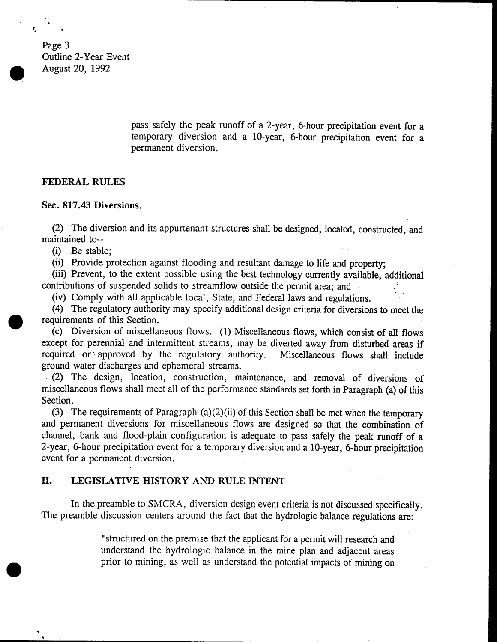Page 3 Outline 2-Year Event August 20, 1992

I

l. <sup>1</sup>

pass safely the peak runoff of a 2-year, 6-hour precipitation event for a temporary diversion and a 10-year, 6-hour precipitation event for a permanent diversion.

:

#### FEDERAL RULES

Sec. 817.43 Diversions.

(2) The diversion and its appurtenant structures shall be designed, located, constructed, and maintained to--

(i) Be stable;

(ii) Provide protection against flooding and resultant damage to life and property;

(iii) Prevent, to the extent possible using the best technology currently available, additional contributions of suspended solids to streamflow outside the permit area; and

(iv) Comply with all applicable local, Slate, and Federal laws and regulations, '

(4) The regulatory authority may specify additional design criteria for diversions to meet the requirements of this Section.

(c) Diversion of miscellaneous flows. (1) Miscellaneous flows, which consist of all flows except for perennial and intermittent streams, may be diverted away from disturbed areas if<br>required or approved by the regulatory authority. Miscellaneous flows shall include required or approved by the regulatory authority. ground-water discharges and ephemeral streams.

(2) The design, location, construction, maintenance, and removal of diversions of miscellaneous flows shall meet all of the performance standards set forth in Paragraph (a) of this Section.

(3) The requirements of Paragraph  $(a)(2)(ii)$  of this Section shall be met when the temporary and permanent diversions for miscellaneous flows are designed so that the combination of channel, bank and flood-plain configuration is adequate to pass safely the peak runoff of <sup>a</sup> 2-year, 6-hour precipilation event for a temporary diversion and a l0-year, 6-hour precipitation event for a permanent diversion.

#### II. LEGISLATTVE HISTORY AND RULE INTENT

In the preamble to SMCRA, diversion design event criteria is not discussed specifically. The preamble discussion centers around the fact that the hydrologic balance regulations are:

> "structured on the premise that the applicant for a permit will research and understand the hydrologic balance in the mine plan and adjacent areas prior to mining, as well as understand the potential impacts of mining on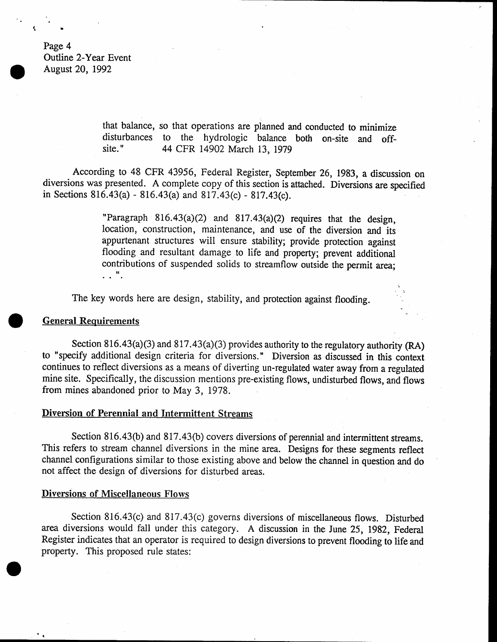Page 4 Oufline 2-Year Event August 20, 1992

> that balance, so that operations are planned and conducted to minimize disturbances to the hydrologic balance both on-site and off-<br>site." 44 CFR 14902 March 13, 1979

According to 48 CFR 43956, Federal Register, September 26, 1983, a discussion on diversions was presented. A complete copy of this section is attached. Diversions are specified in Sections  $816.43(a) - 816.43(a)$  and  $817.43(c) - 817.43(c)$ .

> "Paragraph  $816.43(a)(2)$  and  $817.43(a)(2)$  requires that the design, location, construction, maintenance, and use of the diversion and its appurtenant structures will ensure stability; provide protection against flooding and resultant damage to life and property; prevent additional contributions of suspended solids to streamflow outside the permit area;  $\ldots$   $\mathbf{u}$ .

The key words here are design, stability, and protection against flooding.

#### **General Requirements**

Section 816.43(a)(3) and 817.43(a)(3) provides authority to the regulatory authority (RA) to "specify additional design criteria for diversions." Diversion as discussed in this context continues to reflect diversions as a means of diverting un-regulated water away from a regulated mine site. Specifically, the discussion mentions pre-existing flows, undisturbed flows, and flows from mines abandoned prior to May 3, 1978

#### Diversion of Perennial and Intermittent Streams

Section 816.43(b) and 817.43(b) covers diversions of perennial and intermittent streams. This refers to stream channel diversions in the mine area. Designs for these segments reflect channel configurations similar to those existing above and below the channel in question and do not affect the design of diversions for disturbed areas.

#### Diversions of Miscellaneous Flows

Section 816.43(c) and 817.43(c) governs diversions of miscellaneous flows. Disturbed area diversions would fall under this category. A discussion in the June 25, 1982, Federal Register indicates that an operator is required to design diversions to prevent flooding to life and property. This proposed rule states:

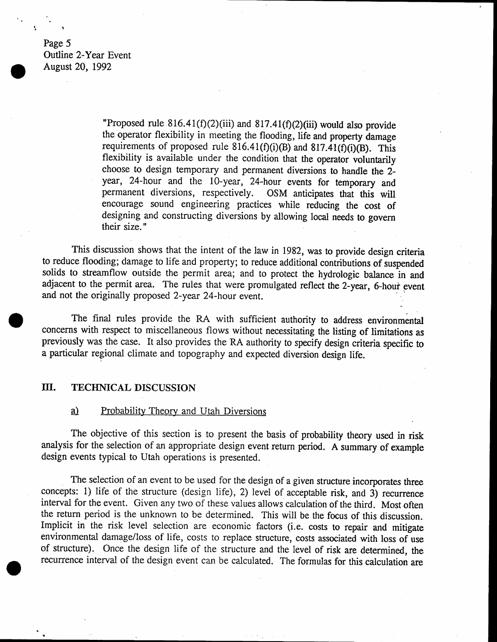Page 5 Outline Z-Year Event August 20, 1992

> "Proposed rule 816.41(f)(2)(iii) and 817.41(f)(2)(iii) would also provide the operator flexibility in meeting the flooding, life and property damage requirements of proposed rule 816.41(f)(i)(B) and 817.41(f)(i)(B). This flexibility is available under the condition that the operator voluntarily choose to design temporary and permanent diversions to handle the 2year, 24-hour and the 10-year, 24-hour events for temporary and permanent diversions, respectively. OSM anticipates that this will encourage sound engineering practices while reducing the cost of designing and constructing diversions by allowing local needs to govern their size.

This discussion shows that the intent of the law in 1982, was to provide design criteria to reduce flooding; damage to life and property; to reduce additional contributions of suspended solids to streamflow outside the permit area; and to protect the hydrologic balance in and adjacent to the permit area. The rules that were promulgated reflect the 2-year, 6-hour event and not the originally proposed Z-year 24-hour event.

\_

The final rules provide the RA with sufficient authority to address environmental concerns with respect to miscellaneous flows without necessitating the listing of limitations as previously was the case. It also provides the RA authority to specify design criteria specific to a particular regional climate and topography and expected diversion design life,

#### Ш. TECHNICAL DISCUSSION

#### $\underline{a}$ Probability Theory and Utah Diversions

The objective of this section is to present the basis of probability theory used in risk analysis for the selection of an appropriate design event return period. A summary of example design events typical to Utah operations is presented.

The selection of an event to be used for the design of a given structure incorporates three concepts: 1) life of the structure (design life), 2) level of acceptable risk, and 3) recurrence interval for the event. Given any two of these values allows calculation of the third. Most often the return period is the unknown to be determined. This will be the focus of this discussion. Implicit in the risk level selection are economic factors (i.e. costs to repair and mitigate environmental damage/loss of life, costs to replace structure, costs associated with loss of use of structure). Once the design life of the structure and the level of risk are determined, the recumence interval of the design event can be calculated. The formulas for this calculation are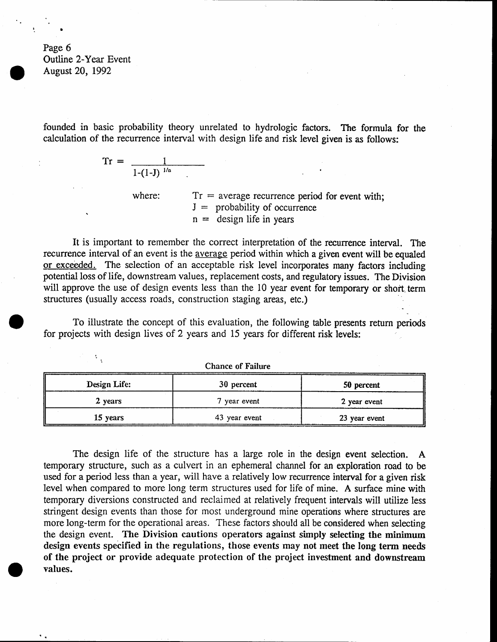Page 6 Outline 2-Year Event August 20, 1992

 $\mathcal{I}_{\mathcal{A}}$ 

founded in basic probability theory unrelated to hydrologic factors. The formula for the calculation of the recurrence interval with design life and risk level given is as follows:

$$
Tr = \frac{1}{1 - (1 - J)^{1/n}}
$$

where:  $Tr = \text{average recurrence period for event with};$  $J =$  probability of occurrence  $n =$  design life in years

It is important to remember the correct interpretation of the recurrence interval. The recurrence interval of an event is the average period within which a given event will be equaled or exceeded. The selection of an acceptable risk level incorporates many factors including potential loss of life, downstream values, replacement costs, and regulatory issues. The Division will approve the use of design events less than the 10 year event for temporary or short term structures (usually access roads, construction staging areas, etc.)

To illustrate the concept of this evaluation, the following table presents return periods for projects with design lives of 2 years and 15 years for different risk levels:

| Chance of Patient |               |               |  |
|-------------------|---------------|---------------|--|
| Design Life:      | 30 percent    | 50 percent    |  |
| 2 years           | 7 year event  | 2 year event  |  |
| 15 years          | 43 year event | 23 year event |  |

Chance of Failure

The design life of the structure has a large role in the design event selection. A temporary structure, such as a culvert in an ephemeral channel for an exploration road to be used for a period less than a year, will have a relatively low recurrence interval for a given risk Ievel when compared to more long term structures used for life of mine. A surface mine with temporary diversions constructed and reclaimed at relatively frequent intervals will utilize less stringent design events than those for most underground mine operations where structures are more long-term for the operational areas. These factors should all be considered when selecting the design event. The Division cautions operators against simply selecting the minimum design events specified in the regulations, those events may not meet the long term needs of the project or provide adequate protection of the project investment and downstream Yalues.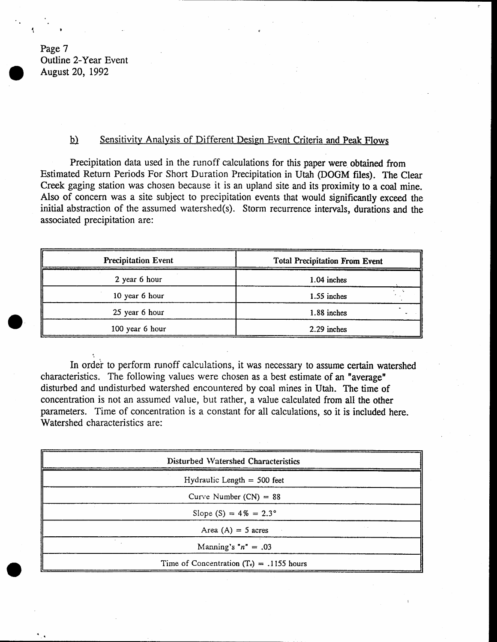Page 7 Outline 2-Year Event August 20, 1992

I

I

#### b) Sensitivity Analysis of Different Design Event Criteria and Peak Flows

Precipitation data used in the runoff calculations for this paper were obtained from Estimated Return Periods For Short Duration Precipitation in Utah (DOGM files). The Clear Creek gaging station was chosen because it is an upland site and its proximity to a coal mine. Also of concern was a site subject to precipitation events that would significantly exceed the initial abstraction of the assumed watershed(s). Storm recurrence intervals, durations and the associated precipitation are:

| <b>Precipitation Event</b> | <b>Total Precipitation From Event</b> |  |
|----------------------------|---------------------------------------|--|
| 2 year 6 hour              | 1.04 inches                           |  |
| 10 year 6 hour             | 1.55 inches                           |  |
| 25 year 6 hour             | 1.88 inches                           |  |
| 100 year 6 hour            | 2.29 inches                           |  |

In order to perform runoff calculations, it was necessary to assume certain watershed characteristics. The following values were chosen as a best estimate of an "average" disturbed and undisturbed watershed encountered by coal mines in Utah. The time of concentration is not an assumed value, but rather, a value calculated from all the other parameters. Time of concentration is a constant for all calculations, so it is included here. Watershed characteristics are:

| Disturbed Watershed Characteristics         |  |
|---------------------------------------------|--|
| Hydraulic Length $= 500$ feet               |  |
| Curve Number $(CN) = 88$                    |  |
| Slope $(S) = 4\% = 2.3^{\circ}$             |  |
| Area $(A) = 5$ acres                        |  |
| Manning's " $n'' = .03$                     |  |
| Time of Concentration $(T_c) = .1155$ hours |  |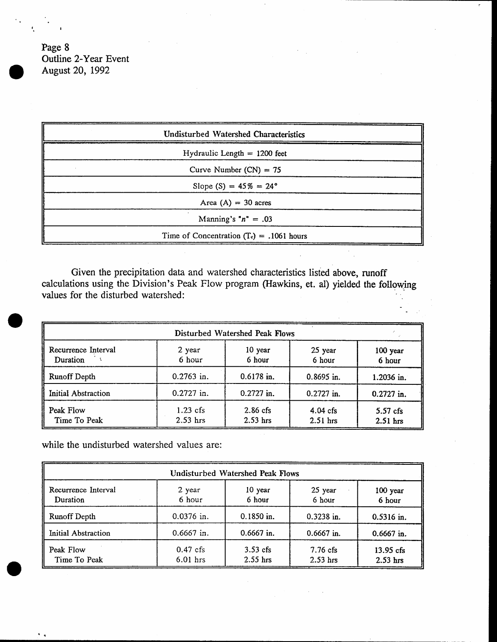Page 8 Oufline 2-Year Event August 20, 1992

| <b>Undisturbed Watershed Characteristics</b> |  |
|----------------------------------------------|--|
| Hydraulic Length $= 1200$ feet               |  |
| Curve Number $(CN) = 75$                     |  |
| Slope (S) = $45\% = 24^{\circ}$              |  |
| Area $(A) = 30$ acres                        |  |
| Manning's " $n'' = .03$                      |  |
| Time of Concentration $(T_c) = .1061$ hours  |  |

Given the precipitation data and watershed characteristics listed above, runoff calculations using the Division's Peak Flow program (Hawkins, et. al) yielded the following values for the disturbed watershed:

|                                 |                          | Disturbed Watershed Peak Flows |                          |                          |
|---------------------------------|--------------------------|--------------------------------|--------------------------|--------------------------|
| Recurrence Interval<br>Duration | 2 year<br>6 hour         | 10 year<br>6 hour              | 25 year<br>6 hour        | 100 year<br>6 hour       |
| <b>Runoff Depth</b>             | $0.2763$ in.             | $0.6178$ in.                   | $0.8695$ in.             | 1.2036 in.               |
| Initial Abstraction             | $0.2727$ in.             | $0.2727$ in.                   | $0.2727$ in.             | $0.2727$ in.             |
| Peak Flow<br>Time To Peak       | $1.23$ cfs<br>$2.53$ hrs | $2.86$ cfs<br>$2.53$ hrs       | $4.04$ cfs<br>$2.51$ hrs | $5.57$ cfs<br>$2.51$ hrs |

while the undisturbed watershed values are:

| Undisturbed Watershed Peak Flows |                          |                          |                          |                           |
|----------------------------------|--------------------------|--------------------------|--------------------------|---------------------------|
| Recurrence Interval<br>Duration  | 2 year<br>6 hour         | 10 year<br>6 hour        | 25 year<br>6 hour        | 100 year<br>6 hour        |
| <b>Runoff Depth</b>              | $0.0376$ in.             | $0.1850$ in.             | $0.3238$ in.             | 0.5316 in.                |
| Initial Abstraction              | $0.6667$ in.             | $0.6667$ in.             | $0.6667$ in.             | $0.6667$ in.              |
| Peak Flow<br>Time To Peak        | $0.47$ cfs<br>$6.01$ hrs | $3.53$ cfs<br>$2.55$ hrs | $7.76$ cfs<br>$2.53$ hrs | $13.95$ cfs<br>$2.53$ hrs |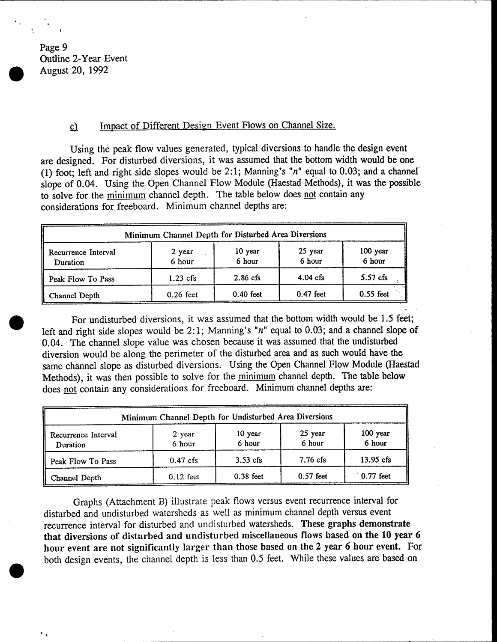Page 9 Outline Z-Year Event August 20, 1992

### c) Impact of Different Design Event Flows on Channel Size.

Using the peak flow values generated, typical diversions to handle the design event are designed. For disturbed diversions, it was assumed that the bottom width would be one (1) foot; left and right side slopes would be 2:1; Manning's " $n$ " equal to 0.03; and a channel' slope of 0.04. Using the Open Channel Flow Module (Haestad Methods), it was the possible to solve for the minimum channel depth. The table below does not contain any considerations for freeboard. Minimum channel depths are:

| Minimum Channel Depth for Disturbed Area Diversions |                  |                   |                   |                    |
|-----------------------------------------------------|------------------|-------------------|-------------------|--------------------|
| Recurrence Interval<br>Duration                     | 2 year<br>6 hour | 10 year<br>6 hour | 25 year<br>6 hour | 100 year<br>6 hour |
| Peak Flow To Pass                                   | $1.23$ cfs       | $2.86$ cfs        | $4.04$ cfs        | $5.57$ cfs         |
| Channel Depth                                       | $0.26$ feet      | $0.40$ feet       | $0.47$ feet       | $0.55$ feet        |

For undisturbed diversions, it was assumed that the bottom width would be 1.5 feet; left and right side slopes would be 2:1; Manning's " $n$ " equal to 0.03; and a channel slope of 0.04. The channel slope value was chosen because it was assumed that the undisturbed diversion would be along the perimeter of the disturbed area and as such would have the same channel slope as disturbed diversions. Using the Open Channel Flow Module (Haestad Methods), it was then possible to solve for the minimum channel depth. The table below does not contain any considerations for freeboard. Minimum channel depths are:

| Minimum Channel Depth for Undisturbed Area Diversions |                  |                   |                    |                    |
|-------------------------------------------------------|------------------|-------------------|--------------------|--------------------|
| Recurrence Interval<br>Duration                       | 2 year<br>6 hour | 10 year<br>6 hour | 25 year<br>6 hour  | 100 year<br>6 hour |
| Peak Flow To Pass                                     | $0.47$ cfs       | $3.53$ cfs        | $7.76 \text{ cfs}$ | $13.95$ cfs        |
| Channel Depth                                         | $0.12$ feet      | $0.38$ feet       | $0.57$ feet        | $0.77$ feet        |

Graphs (Attachment B) illustrate peak flows versus event recurrence interval for disturbed and undisturbed watersheds as well as minimum channel depth versus event recurrence interval for disturbed and undisturbed watersheds. These graphs demonstrate that diversions of disturbed and undisturbed miscellaneous flows based on the 10 year <sup>6</sup> hour event are not significantly larger than those based on the 2 year 6 hour event. For both design events, the channel depth is less than 0.5 fect. While these values are based on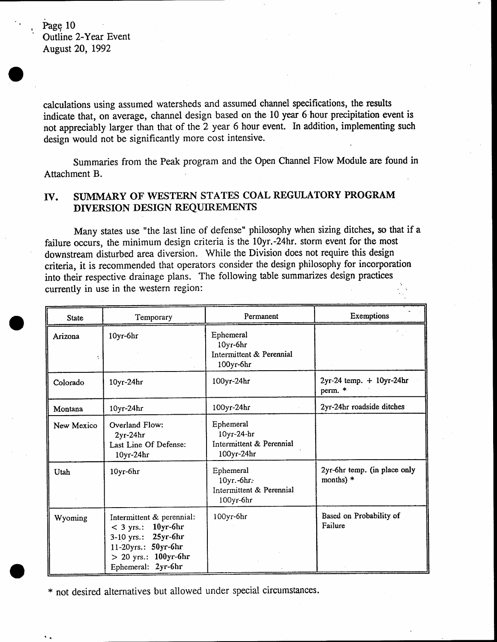Page 10 Outline 2-Year Event August 20, 1992

calculations using assumed watersheds and assumed channel specifications, the results indicate that, on average, channel design based on the l0 year 6 hour precipitation event is not appreciably larger than that of the 2 year 6 hour event. In addition, implementing such design would not be significantly more cost intensive.

Summaries from the Peak program and the Open Channel FIow Module are found in Attachment B.

## IV. SUMMARY OF WESTERN STATES COAL REGULATORY PROGRAM DTVERSION DESIGN REQUIREMENTS

Many states use "the last line of defense" philosophy when sizing ditches, so that if <sup>a</sup> failure occurs, the minimum design criteria is the 10yr.-24hr. storm event for the most downstream disturbed area diversion, While the Division does not require this design criteria, it is recommended that operators consider the design philosophy for incorporation into their respective drainage plans. The following table summarizes design practices currently in use in the western region: "' '-

| <b>State</b> | Temporary                                                                                                                                                   | Permanent                                                         | Exemptions                                  |
|--------------|-------------------------------------------------------------------------------------------------------------------------------------------------------------|-------------------------------------------------------------------|---------------------------------------------|
| Arizona      | 10yr-6hr                                                                                                                                                    | Ephemeral<br>10yr-6hr<br>Intermittent & Perennial<br>100yr-6hr    |                                             |
| Colorado     | $10yr-24hr$                                                                                                                                                 | 100yr-24hr                                                        | $2yr-24$ temp. $+ 10yr-24hr$<br>perm. *     |
| Montana      | 10yr-24hr                                                                                                                                                   | 100yr-24hr                                                        | 2yr-24hr roadside ditches                   |
| New Mexico   | Overland Flow:<br>$2yr-24hr$<br>Last Line Of Defense:<br>10yr-24hr                                                                                          | Ephemeral<br>10yr-24-hr<br>Intermittent & Perennial<br>100yr-24hr |                                             |
| Utah         | 10yr-6hr                                                                                                                                                    | Ephemeral<br>10yr.-6hr.<br>Intermittent & Perennial<br>100yr-6hr  | 2yr-6hr temp. (in place only<br>months) $*$ |
| Wyoming      | Intermittent & perennial:<br>10yr-6hr<br>$<$ 3 yrs.:<br>$25yr$ -6 $hr$<br>$3-10$ yrs.:<br>11-20yrs.: 50yr-6hr<br>> 20 yrs.: 100yr-6hr<br>Ephemeral: 2yr-6hr | 100yr-6hr                                                         | Based on Probability of<br>Failure          |

\* not desired alternatives but allowed under special circumstances.